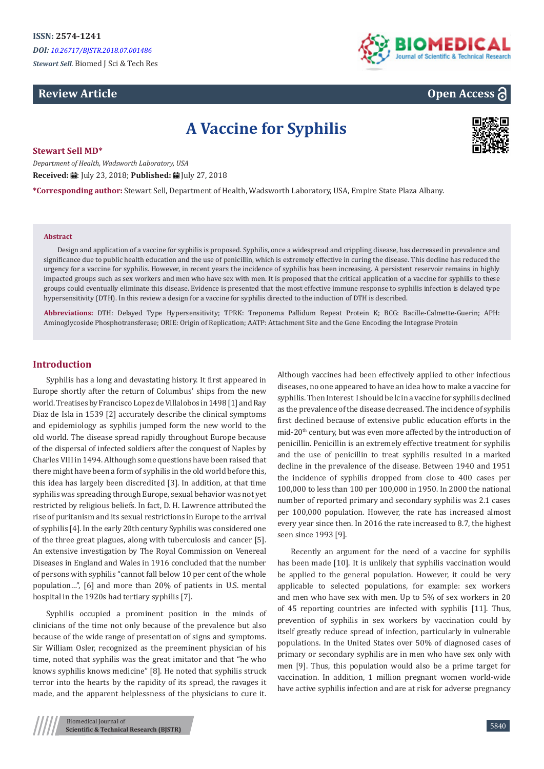# **Review Article**



# **Open Access**

# **A Vaccine for Syphilis**



*Department of Health, Wadsworth Laboratory, USA* Received: *=* July 23, 2018; Published: ■ July 27, 2018

**\*Corresponding author:** Stewart Sell, Department of Health, Wadsworth Laboratory, USA, Empire State Plaza Albany.

#### **Abstract**

Design and application of a vaccine for syphilis is proposed. Syphilis, once a widespread and crippling disease, has decreased in prevalence and significance due to public health education and the use of penicillin, which is extremely effective in curing the disease. This decline has reduced the urgency for a vaccine for syphilis. However, in recent years the incidence of syphilis has been increasing. A persistent reservoir remains in highly impacted groups such as sex workers and men who have sex with men. It is proposed that the critical application of a vaccine for syphilis to these groups could eventually eliminate this disease. Evidence is presented that the most effective immune response to syphilis infection is delayed type hypersensitivity (DTH). In this review a design for a vaccine for syphilis directed to the induction of DTH is described.

**Abbreviations:** DTH: Delayed Type Hypersensitivity; TPRK: Treponema Pallidum Repeat Protein K; BCG: Bacille-Calmette-Guerin; APH: Aminoglycoside Phosphotransferase; ORIE: Origin of Replication; AATP: Attachment Site and the Gene Encoding the Integrase Protein

## **Introduction**

Syphilis has a long and devastating history. It first appeared in Europe shortly after the return of Columbus' ships from the new world. Treatises by Francisco Lopez de Villalobos in 1498 [1] and Ray Diaz de Isla in 1539 [2] accurately describe the clinical symptoms and epidemiology as syphilis jumped form the new world to the old world. The disease spread rapidly throughout Europe because of the dispersal of infected soldiers after the conquest of Naples by Charles VIII in 1494. Although some questions have been raised that there might have been a form of syphilis in the old world before this, this idea has largely been discredited [3]. In addition, at that time syphilis was spreading through Europe, sexual behavior was not yet restricted by religious beliefs. In fact, D. H. Lawrence attributed the rise of puritanism and its sexual restrictions in Europe to the arrival of syphilis [4]. In the early 20th century Syphilis was considered one of the three great plagues, along with tuberculosis and cancer [5]. An extensive investigation by The Royal Commission on Venereal Diseases in England and Wales in 1916 concluded that the number of persons with syphilis "cannot fall below 10 per cent of the whole population…", [6] and more than 20% of patients in U.S. mental hospital in the 1920s had tertiary syphilis [7].

Syphilis occupied a prominent position in the minds of clinicians of the time not only because of the prevalence but also because of the wide range of presentation of signs and symptoms. Sir William Osler, recognized as the preeminent physician of his time, noted that syphilis was the great imitator and that "he who knows syphilis knows medicine" [8]. He noted that syphilis struck terror into the hearts by the rapidity of its spread, the ravages it made, and the apparent helplessness of the physicians to cure it.

Although vaccines had been effectively applied to other infectious diseases, no one appeared to have an idea how to make a vaccine for syphilis. Then Interest I should be lc in a vaccine for syphilis declined as the prevalence of the disease decreased. The incidence of syphilis first declined because of extensive public education efforts in the mid-20<sup>th</sup> century, but was even more affected by the introduction of penicillin. Penicillin is an extremely effective treatment for syphilis and the use of penicillin to treat syphilis resulted in a marked decline in the prevalence of the disease. Between 1940 and 1951 the incidence of syphilis dropped from close to 400 cases per 100,000 to less than 100 per 100,000 in 1950. In 2000 the national number of reported primary and secondary syphilis was 2.1 cases per 100,000 population. However, the rate has increased almost every year since then. In 2016 the rate increased to 8.7, the highest seen since 1993 [9].

Recently an argument for the need of a vaccine for syphilis has been made [10]. It is unlikely that syphilis vaccination would be applied to the general population. However, it could be very applicable to selected populations, for example: sex workers and men who have sex with men. Up to 5% of sex workers in 20 of 45 reporting countries are infected with syphilis [11]. Thus, prevention of syphilis in sex workers by vaccination could by itself greatly reduce spread of infection, particularly in vulnerable populations. In the United States over 50% of diagnosed cases of primary or secondary syphilis are in men who have sex only with men [9]. Thus, this population would also be a prime target for vaccination. In addition, 1 million pregnant women world-wide have active syphilis infection and are at risk for adverse pregnancy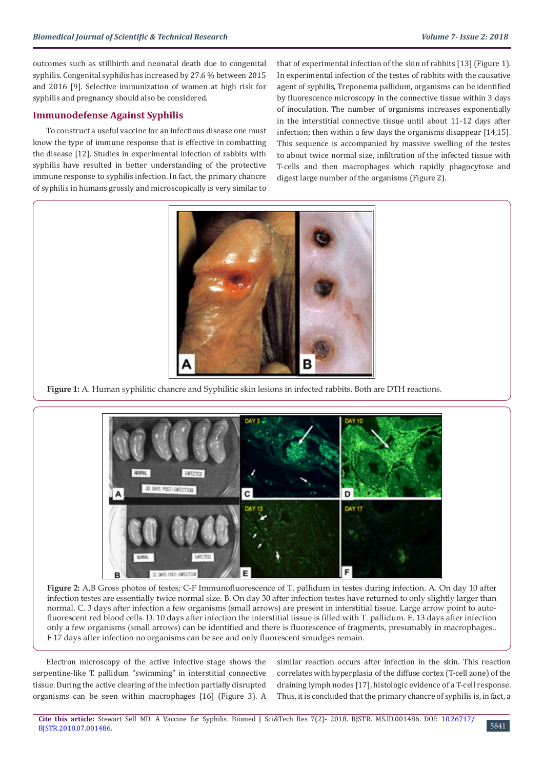outcomes such as stillbirth and neonatal death due to congenital syphilis. Congenital syphilis has increased by 27.6 % between 2015 and 2016 [9]. Selective immunization of women at high risk for syphilis and pregnancy should also be considered.

## **Immunodefense Against Syphilis**

To construct a useful vaccine for an infectious disease one must know the type of immune response that is effective in combatting the disease [12]. Studies in experimental infection of rabbits with syphilis have resulted in better understanding of the protective immune response to syphilis infection. In fact, the primary chancre of syphilis in humans grossly and microscopically is very similar to

that of experimental infection of the skin of rabbits [13] (Figure 1). In experimental infection of the testes of rabbits with the causative agent of syphilis, Treponema pallidum, organisms can be identified by fluorescence microscopy in the connective tissue within 3 days of inoculation. The number of organisms increases exponentially in the interstitial connective tissue until about 11-12 days after infection; then within a few days the organisms disappear [14,15]. This sequence is accompanied by massive swelling of the testes to about twice normal size, infiltration of the infected tissue with T-cells and then macrophages which rapidly phagocytose and digest large number of the organisms (Figure 2).



**Figure 1:** A. Human syphilitic chancre and Syphilitic skin lesions in infected rabbits. Both are DTH reactions.



**Figure 2:** A,B Gross photos of testes; C-F Immunofluorescence of T. pallidum in testes during infection. A. On day 10 after infection testes are essentially twice normal size. B. On day 30 after infection testes have returned to only slightly larger than normal. C. 3 days after infection a few organisms (small arrows) are present in interstitial tissue. Large arrow point to autofluorescent red blood cells. D. 10 days after infection the interstitial tissue is filled with T. pallidum. E. 13 days after infection only a few organisms (small arrows) can be identified and there is fluorescence of fragments, presumably in macrophages.. F 17 days after infection no organisms can be see and only fluorescent smudges remain.

Electron microscopy of the active infective stage shows the serpentine-like T. pallidum "swimming" in interstitial connective tissue. During the active clearing of the infection partially disrupted organisms can be seen within macrophages [16] (Figure 3). A

similar reaction occurs after infection in the skin. This reaction correlates with hyperplasia of the diffuse cortex (T-cell zone) of the draining lymph nodes [17], histologic evidence of a T-cell response. Thus, it is concluded that the primary chancre of syphilis is, in fact, a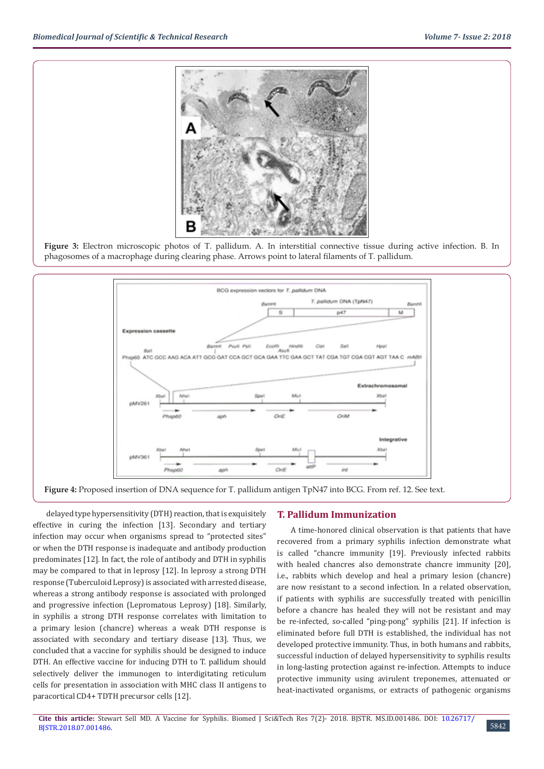

**Figure 3:** Electron microscopic photos of T. pallidum. A. In interstitial connective tissue during active infection. B. In phagosomes of a macrophage during clearing phase. Arrows point to lateral filaments of T. pallidum.



delayed type hypersensitivity (DTH) reaction, that is exquisitely effective in curing the infection [13]. Secondary and tertiary infection may occur when organisms spread to "protected sites" or when the DTH response is inadequate and antibody production predominates [12]. In fact, the role of antibody and DTH in syphilis may be compared to that in leprosy [12]. In leprosy a strong DTH response (Tuberculoid Leprosy) is associated with arrested disease, whereas a strong antibody response is associated with prolonged and progressive infection (Lepromatous Leprosy) [18]. Similarly, in syphilis a strong DTH response correlates with limitation to a primary lesion (chancre) whereas a weak DTH response is associated with secondary and tertiary disease [13]. Thus, we concluded that a vaccine for syphilis should be designed to induce DTH. An effective vaccine for inducing DTH to T. pallidum should selectively deliver the immunogen to interdigitating reticulum cells for presentation in association with MHC class II antigens to paracortical CD4+ TDTH precursor cells [12].

## **T. Pallidum Immunization**

A time-honored clinical observation is that patients that have recovered from a primary syphilis infection demonstrate what is called "chancre immunity [19]. Previously infected rabbits with healed chancres also demonstrate chancre immunity [20], i.e., rabbits which develop and heal a primary lesion (chancre) are now resistant to a second infection. In a related observation, if patients with syphilis are successfully treated with penicillin before a chancre has healed they will not be resistant and may be re-infected, so-called "ping-pong" syphilis [21]. If infection is eliminated before full DTH is established, the individual has not developed protective immunity. Thus, in both humans and rabbits, successful induction of delayed hypersensitivity to syphilis results in long-lasting protection against re-infection. Attempts to induce protective immunity using avirulent treponemes, attenuated or heat-inactivated organisms, or extracts of pathogenic organisms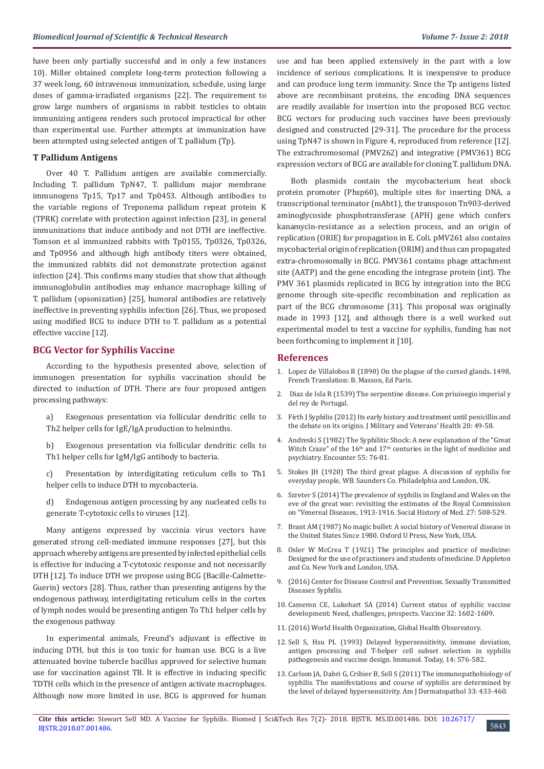have been only partially successful and in only a few instances 10). Miller obtained complete long-term protection following a 37 week long, 60 intravenous immunization, schedule, using large doses of gamma-irradiated organisms [22]. The requirement to grow large numbers of organisms in rabbit testicles to obtain immunizing antigens renders such protocol impractical for other than experimental use. Further attempts at immunization have been attempted using selected antigen of T. pallidum (Tp).

#### **T Pallidum Antigens**

Over 40 T. Pallidum antigen are available commercially. Including T. pallidum TpN47, T. pallidum major membrane immunogens Tp15, Tp17 and Tp0453. Although antibodies to the variable regions of Treponema pallidum repeat protein K (TPRK) correlate with protection against infection [23], in general immunizations that induce antibody and not DTH are ineffective. Tomson et al immunized rabbits with Tp0155, Tp0326, Tp0326, and Tp0956 and although high antibody titers were obtained, the immunized rabbits did not demonstrate protection against infection [24]. This confirms many studies that show that although immunoglobulin antibodies may enhance macrophage killing of T. pallidum (opsonization) [25], humoral antibodies are relatively ineffective in preventing syphilis infection [26]. Thus, we proposed using modified BCG to induce DTH to T. pallidum as a potential effective vaccine [12].

#### **BCG Vector for Syphilis Vaccine**

According to the hypothesis presented above, selection of immunogen presentation for syphilis vaccination should be directed to induction of DTH. There are four proposed antigen processing pathways:

- a) Exogenous presentation via follicular dendritic cells to Th2 helper cells for IgE/IgA production to helminths.
- b) Exogenous presentation via follicular dendritic cells to Th1 helper cells for IgM/IgG antibody to bacteria.
- c) Presentation by interdigitating reticulum cells to Th1 helper cells to induce DTH to mycobacteria.
- Endogenous antigen processing by any nucleated cells to generate T-cytotoxic cells to viruses [12].

Many antigens expressed by vaccinia virus vectors have generated strong cell-mediated immune responses [27], but this approach whereby antigens are presented by infected epithelial cells is effective for inducing a T-cytotoxic response and not necessarily DTH [12]. To induce DTH we propose using BCG (Bacille-Calmette-Guerin) vectors [28]. Thus, rather than presenting antigens by the endogenous pathway, interdigitating reticulum cells in the cortex of lymph nodes would be presenting antigen To Th1 helper cells by the exogenous pathway.

In experimental animals, Freund's adjuvant is effective in inducing DTH, but this is too toxic for human use. BCG is a live attenuated bovine tubercle bacillus approved for selective human use for vaccination against TB. It is effective in inducing specific TDTH cells which in the presence of antigen activate macrophages. Although now more limited in use, BCG is approved for human use and has been applied extensively in the past with a low incidence of serious complications. It is inexpensive to produce and can produce long term immunity. Since the Tp antigens listed above are recombinant proteins, the encoding DNA sequences are readily available for insertion into the proposed BCG vector. BCG vectors for producing such vaccines have been previously designed and constructed [29-31]. The procedure for the process using TpN47 is shown in Figure 4, reproduced from reference [12]. The extrachromosomal (PMV262) and integrative (PMV361) BCG expression vectors of BCG are available for cloning T. pallidum DNA.

Both plasmids contain the mycobacterium heat shock protein promoter (Phsp60), multiple sites for inserting DNA, a transcriptional terminator (mAbt1), the transposon Tn903-derived aminoglycoside phosphotransferase (APH) gene which confers kanamycin-resistance as a selection process, and an origin of replication (ORIE) for propagation in E. Coli. pMV261 also contains mycobacterial origin of replication (ORIM) and thus can propagated extra-chromosomally in BCG. PMV361 contains phage attachment site (AATP) and the gene encoding the integrase protein (int). The PMV 361 plasmids replicated in BCG by integration into the BCG genome through site-specific recombination and replication as part of the BCG chromosome [31]. This proposal was originally made in 1993 [12], and although there is a well worked out experimental model to test a vaccine for syphilis, funding has not been forthcoming to implement it [10].

#### **References**

- 1. Lopez de Villalobos R (1890) On the plague of the cursed glands. 1498, French Translation: B. Masson, Ed Paris.
- 2. Diaz de Isla R (1539) The serpentine disease. Con priuioegio imperial y del rey de Portugal.
- 3. [Firth J Syphilis \(2012\) Its early history and treatment until penicillin and](https://jmvh.org/article/syphilis-its-early-history-and-treatment-until-penicillin-and-the-debate-on-its-origins/) [the debate on its origins. J Military and Veterans' Health 20: 49-58.](https://jmvh.org/article/syphilis-its-early-history-and-treatment-until-penicillin-and-the-debate-on-its-origins/)
- 4. [Andreski S \(1982\) The Syphilitic Shock: A new explanation of the "Great](https://www.ncbi.nlm.nih.gov/pubmed/11631971) Witch Craze" of the  $16<sup>th</sup>$  and  $17<sup>th</sup>$  centuries in the light of medicine and [psychiatry. Encounter 55: 76-81.](https://www.ncbi.nlm.nih.gov/pubmed/11631971)
- 5. [Stokes JH \(1920\) The third great plague. A discussion of syphilis for](https://archive.org/details/thirdgreatplagu01stokgoog) [everyday people, WB. Saunders Co. Philadelphia and London, UK.](https://archive.org/details/thirdgreatplagu01stokgoog)
- 6. [Szreter S \(2014\) The prevalence of syphilis in England and Wales on the](https://www.ncbi.nlm.nih.gov/pubmed/25067890) [eve of the great war: revisiting the estimates of the Royal Commission](https://www.ncbi.nlm.nih.gov/pubmed/25067890) [on "Venereal Diseases, 1913-1916. Social History of Med. 27: 508-529.](https://www.ncbi.nlm.nih.gov/pubmed/25067890)
- 7. Brant AM (1987) No magic bullet: A social history of Venereal disease in the United States Since 1980. Oxford U Press, New York, USA.
- 8. [Osler W McCrea T \(1921\) The principles and practice of medicine:](https://archive.org/details/principlesandpr04oslegoog) [Designed for the use of practioners and students of medicine. D Appleton](https://archive.org/details/principlesandpr04oslegoog) [and Co. New York and London, USA.](https://archive.org/details/principlesandpr04oslegoog)
- 9. (2016) Center for Disease Control and Prevention. Sexually Transmitted Diseases Syphilis.
- 10. [Cameron CE, Lukehart SA \(2014\) Current status of syphilic vaccine](https://www.ncbi.nlm.nih.gov/pubmed/24135571) [development: Need, challenges, prospects. Vaccine 32: 1602-1609.](https://www.ncbi.nlm.nih.gov/pubmed/24135571)
- 11.(2016) World Health Organization, Global Health Observatory.
- 12. [Sell S, Hsu PL \(1993\) Delayed hypersensitivity, immune deviation,](https://www.ncbi.nlm.nih.gov/pubmed/21694502) [antigen processing and T-helper cell subset selection in syphilis](https://www.ncbi.nlm.nih.gov/pubmed/21694502) [pathogenesis and vaccine design. Immunol. Today, 14: 576-582.](https://www.ncbi.nlm.nih.gov/pubmed/21694502)
- 13. [Carlson JA, Dabri G, Cribier B, Sell S \(2011\) The immunopathobiology of](https://www.ncbi.nlm.nih.gov/pubmed/21694502) [syphilis. The manifestations and course of syphilis are determined by](https://www.ncbi.nlm.nih.gov/pubmed/21694502) [the level of delayed hypersensitivity. Am J Dermatopathol 33: 433-460.](https://www.ncbi.nlm.nih.gov/pubmed/21694502)